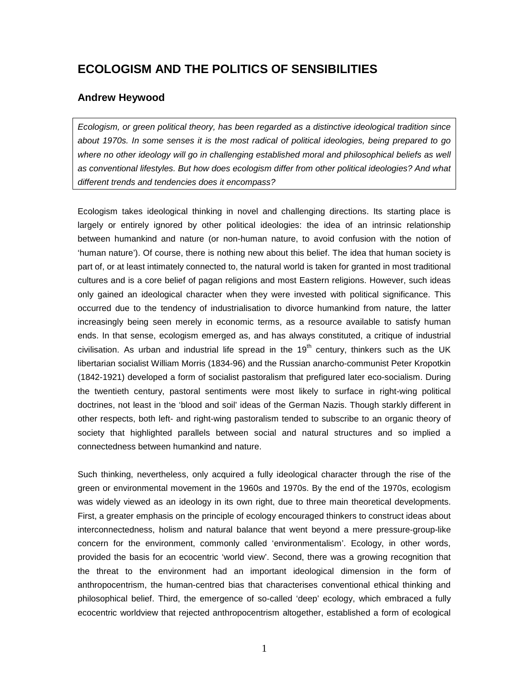# **ECOLOGISM AND THE POLITICS OF SENSIBILITIES**

# **Andrew Heywood**

*Ecologism, or green political theory, has been regarded as a distinctive ideological tradition since about 1970s. In some senses it is the most radical of political ideologies, being prepared to go where no other ideology will go in challenging established moral and philosophical beliefs as well as conventional lifestyles. But how does ecologism differ from other political ideologies? And what different trends and tendencies does it encompass?*

Ecologism takes ideological thinking in novel and challenging directions. Its starting place is largely or entirely ignored by other political ideologies: the idea of an intrinsic relationship between humankind and nature (or non-human nature, to avoid confusion with the notion of 'human nature'). Of course, there is nothing new about this belief. The idea that human society is part of, or at least intimately connected to, the natural world is taken for granted in most traditional cultures and is a core belief of pagan religions and most Eastern religions. However, such ideas only gained an ideological character when they were invested with political significance. This occurred due to the tendency of industrialisation to divorce humankind from nature, the latter increasingly being seen merely in economic terms, as a resource available to satisfy human ends. In that sense, ecologism emerged as, and has always constituted, a critique of industrial civilisation. As urban and industrial life spread in the  $19<sup>th</sup>$  century, thinkers such as the UK libertarian socialist William Morris (1834-96) and the Russian anarcho-communist Peter Kropotkin (1842-1921) developed a form of socialist pastoralism that prefigured later eco-socialism. During the twentieth century, pastoral sentiments were most likely to surface in right-wing political doctrines, not least in the 'blood and soil' ideas of the German Nazis. Though starkly different in other respects, both left- and right-wing pastoralism tended to subscribe to an organic theory of society that highlighted parallels between social and natural structures and so implied a connectedness between humankind and nature.

Such thinking, nevertheless, only acquired a fully ideological character through the rise of the green or environmental movement in the 1960s and 1970s. By the end of the 1970s, ecologism was widely viewed as an ideology in its own right, due to three main theoretical developments. First, a greater emphasis on the principle of ecology encouraged thinkers to construct ideas about interconnectedness, holism and natural balance that went beyond a mere pressure-group-like concern for the environment, commonly called 'environmentalism'. Ecology, in other words, provided the basis for an ecocentric 'world view'. Second, there was a growing recognition that the threat to the environment had an important ideological dimension in the form of anthropocentrism, the human-centred bias that characterises conventional ethical thinking and philosophical belief. Third, the emergence of so-called 'deep' ecology, which embraced a fully ecocentric worldview that rejected anthropocentrism altogether, established a form of ecological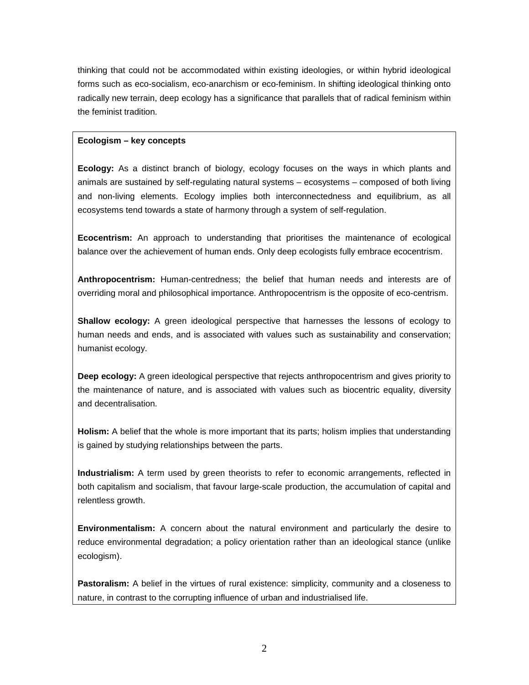thinking that could not be accommodated within existing ideologies, or within hybrid ideological forms such as eco-socialism, eco-anarchism or eco-feminism. In shifting ideological thinking onto radically new terrain, deep ecology has a significance that parallels that of radical feminism within the feminist tradition.

# **Ecologism – key concepts**

**Ecology:** As a distinct branch of biology, ecology focuses on the ways in which plants and animals are sustained by self-regulating natural systems – ecosystems – composed of both living and non-living elements. Ecology implies both interconnectedness and equilibrium, as all ecosystems tend towards a state of harmony through a system of self-regulation.

**Ecocentrism:** An approach to understanding that prioritises the maintenance of ecological balance over the achievement of human ends. Only deep ecologists fully embrace ecocentrism.

**Anthropocentrism:** Human-centredness; the belief that human needs and interests are of overriding moral and philosophical importance. Anthropocentrism is the opposite of eco-centrism.

**Shallow ecology:** A green ideological perspective that harnesses the lessons of ecology to human needs and ends, and is associated with values such as sustainability and conservation; humanist ecology.

**Deep ecology:** A green ideological perspective that rejects anthropocentrism and gives priority to the maintenance of nature, and is associated with values such as biocentric equality, diversity and decentralisation.

**Holism:** A belief that the whole is more important that its parts; holism implies that understanding is gained by studying relationships between the parts.

**Industrialism:** A term used by green theorists to refer to economic arrangements, reflected in both capitalism and socialism, that favour large-scale production, the accumulation of capital and relentless growth.

**Environmentalism:** A concern about the natural environment and particularly the desire to reduce environmental degradation; a policy orientation rather than an ideological stance (unlike ecologism).

**Pastoralism:** A belief in the virtues of rural existence: simplicity, community and a closeness to nature, in contrast to the corrupting influence of urban and industrialised life.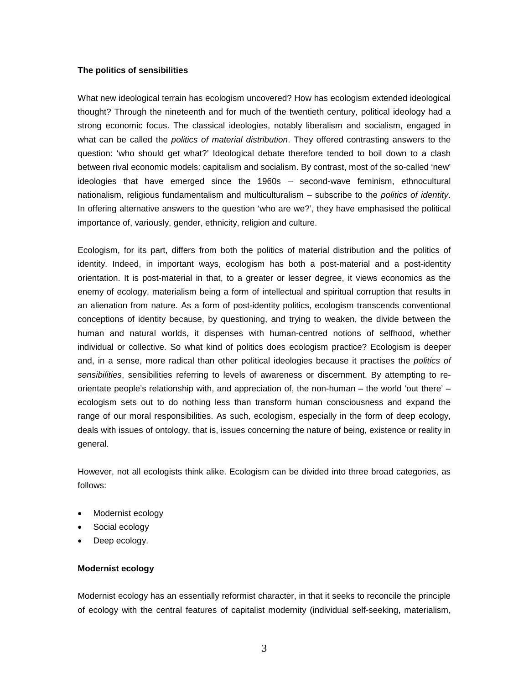#### **The politics of sensibilities**

What new ideological terrain has ecologism uncovered? How has ecologism extended ideological thought? Through the nineteenth and for much of the twentieth century, political ideology had a strong economic focus. The classical ideologies, notably liberalism and socialism, engaged in what can be called the *politics of material distribution*. They offered contrasting answers to the question: 'who should get what?' Ideological debate therefore tended to boil down to a clash between rival economic models: capitalism and socialism. By contrast, most of the so-called 'new' ideologies that have emerged since the 1960s – second-wave feminism, ethnocultural nationalism, religious fundamentalism and multiculturalism – subscribe to the *politics of identity*. In offering alternative answers to the question 'who are we?', they have emphasised the political importance of, variously, gender, ethnicity, religion and culture.

Ecologism, for its part, differs from both the politics of material distribution and the politics of identity. Indeed, in important ways, ecologism has both a post-material and a post-identity orientation. It is post-material in that, to a greater or lesser degree, it views economics as the enemy of ecology, materialism being a form of intellectual and spiritual corruption that results in an alienation from nature. As a form of post-identity politics, ecologism transcends conventional conceptions of identity because, by questioning, and trying to weaken, the divide between the human and natural worlds, it dispenses with human-centred notions of selfhood, whether individual or collective. So what kind of politics does ecologism practice? Ecologism is deeper and, in a sense, more radical than other political ideologies because it practises the *politics of sensibilities*, sensibilities referring to levels of awareness or discernment. By attempting to reorientate people's relationship with, and appreciation of, the non-human – the world 'out there' – ecologism sets out to do nothing less than transform human consciousness and expand the range of our moral responsibilities. As such, ecologism, especially in the form of deep ecology, deals with issues of ontology, that is, issues concerning the nature of being, existence or reality in general.

However, not all ecologists think alike. Ecologism can be divided into three broad categories, as follows:

- Modernist ecology
- Social ecology
- Deep ecology.

# **Modernist ecology**

Modernist ecology has an essentially reformist character, in that it seeks to reconcile the principle of ecology with the central features of capitalist modernity (individual self-seeking, materialism,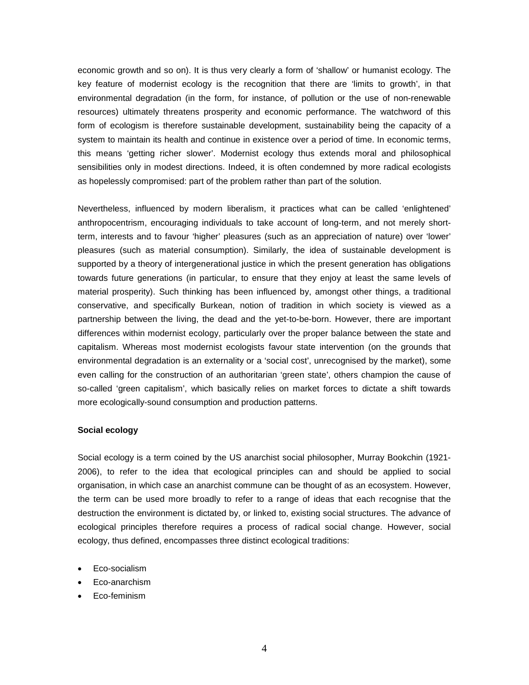economic growth and so on). It is thus very clearly a form of 'shallow' or humanist ecology. The key feature of modernist ecology is the recognition that there are 'limits to growth', in that environmental degradation (in the form, for instance, of pollution or the use of non-renewable resources) ultimately threatens prosperity and economic performance. The watchword of this form of ecologism is therefore sustainable development, sustainability being the capacity of a system to maintain its health and continue in existence over a period of time. In economic terms, this means 'getting richer slower'. Modernist ecology thus extends moral and philosophical sensibilities only in modest directions. Indeed, it is often condemned by more radical ecologists as hopelessly compromised: part of the problem rather than part of the solution.

Nevertheless, influenced by modern liberalism, it practices what can be called 'enlightened' anthropocentrism, encouraging individuals to take account of long-term, and not merely shortterm, interests and to favour 'higher' pleasures (such as an appreciation of nature) over 'lower' pleasures (such as material consumption). Similarly, the idea of sustainable development is supported by a theory of intergenerational justice in which the present generation has obligations towards future generations (in particular, to ensure that they enjoy at least the same levels of material prosperity). Such thinking has been influenced by, amongst other things, a traditional conservative, and specifically Burkean, notion of tradition in which society is viewed as a partnership between the living, the dead and the yet-to-be-born. However, there are important differences within modernist ecology, particularly over the proper balance between the state and capitalism. Whereas most modernist ecologists favour state intervention (on the grounds that environmental degradation is an externality or a 'social cost', unrecognised by the market), some even calling for the construction of an authoritarian 'green state', others champion the cause of so-called 'green capitalism', which basically relies on market forces to dictate a shift towards more ecologically-sound consumption and production patterns.

#### **Social ecology**

Social ecology is a term coined by the US anarchist social philosopher, Murray Bookchin (1921- 2006), to refer to the idea that ecological principles can and should be applied to social organisation, in which case an anarchist commune can be thought of as an ecosystem. However, the term can be used more broadly to refer to a range of ideas that each recognise that the destruction the environment is dictated by, or linked to, existing social structures. The advance of ecological principles therefore requires a process of radical social change. However, social ecology, thus defined, encompasses three distinct ecological traditions:

- Eco-socialism
- Eco-anarchism
- Eco-feminism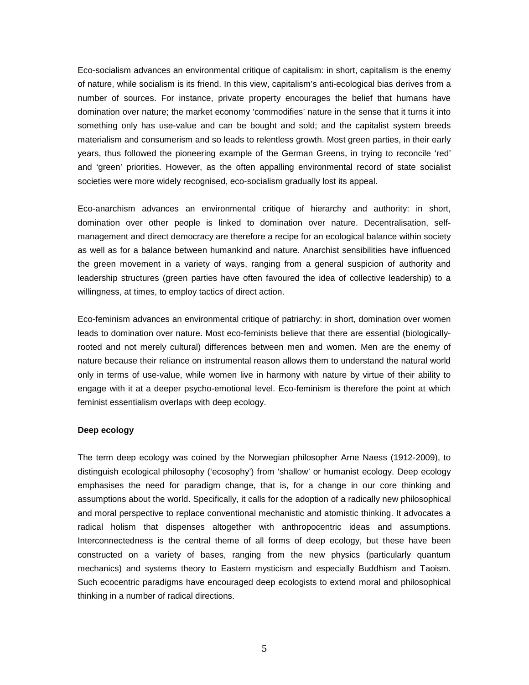Eco-socialism advances an environmental critique of capitalism: in short, capitalism is the enemy of nature, while socialism is its friend. In this view, capitalism's anti-ecological bias derives from a number of sources. For instance, private property encourages the belief that humans have domination over nature; the market economy 'commodifies' nature in the sense that it turns it into something only has use-value and can be bought and sold; and the capitalist system breeds materialism and consumerism and so leads to relentless growth. Most green parties, in their early years, thus followed the pioneering example of the German Greens, in trying to reconcile 'red' and 'green' priorities. However, as the often appalling environmental record of state socialist societies were more widely recognised, eco-socialism gradually lost its appeal.

Eco-anarchism advances an environmental critique of hierarchy and authority: in short, domination over other people is linked to domination over nature. Decentralisation, selfmanagement and direct democracy are therefore a recipe for an ecological balance within society as well as for a balance between humankind and nature. Anarchist sensibilities have influenced the green movement in a variety of ways, ranging from a general suspicion of authority and leadership structures (green parties have often favoured the idea of collective leadership) to a willingness, at times, to employ tactics of direct action.

Eco-feminism advances an environmental critique of patriarchy: in short, domination over women leads to domination over nature. Most eco-feminists believe that there are essential (biologicallyrooted and not merely cultural) differences between men and women. Men are the enemy of nature because their reliance on instrumental reason allows them to understand the natural world only in terms of use-value, while women live in harmony with nature by virtue of their ability to engage with it at a deeper psycho-emotional level. Eco-feminism is therefore the point at which feminist essentialism overlaps with deep ecology.

# **Deep ecology**

The term deep ecology was coined by the Norwegian philosopher Arne Naess (1912-2009), to distinguish ecological philosophy ('ecosophy') from 'shallow' or humanist ecology. Deep ecology emphasises the need for paradigm change, that is, for a change in our core thinking and assumptions about the world. Specifically, it calls for the adoption of a radically new philosophical and moral perspective to replace conventional mechanistic and atomistic thinking. It advocates a radical holism that dispenses altogether with anthropocentric ideas and assumptions. Interconnectedness is the central theme of all forms of deep ecology, but these have been constructed on a variety of bases, ranging from the new physics (particularly quantum mechanics) and systems theory to Eastern mysticism and especially Buddhism and Taoism. Such ecocentric paradigms have encouraged deep ecologists to extend moral and philosophical thinking in a number of radical directions.